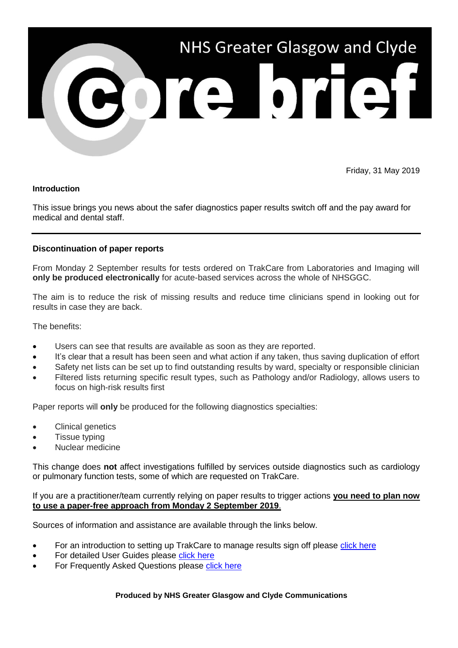

Friday, 31 May 2019

## **Introduction**

This issue brings you news about the safer diagnostics paper results switch off and the pay award for medical and dental staff.

## **Discontinuation of paper reports**

From Monday 2 September results for tests ordered on TrakCare from Laboratories and Imaging will **only be produced electronically** for acute-based services across the whole of NHSGGC.

The aim is to reduce the risk of missing results and reduce time clinicians spend in looking out for results in case they are back.

The benefits:

- Users can see that results are available as soon as they are reported.
- It's clear that a result has been seen and what action if any taken, thus saving duplication of effort
- Safety net lists can be set up to find outstanding results by ward, specialty or responsible clinician
- Filtered lists returning specific result types, such as Pathology and/or Radiology, allows users to focus on high-risk results first

Paper reports will **only** be produced for the following diagnostics specialties:

- Clinical genetics
- Tissue typing
- Nuclear medicine

This change does **not** affect investigations fulfilled by services outside diagnostics such as cardiology or pulmonary function tests, some of which are requested on TrakCare.

If you are a practitioner/team currently relying on paper results to trigger actions **you need to plan now to use a paper-free approach from Monday 2 September 2019**.

Sources of information and assistance are available through the links below.

- For an introduction to setting up TrakCare to manage results sign off please [click here](http://www.staffnet.ggc.scot.nhs.uk/Corporate%20Services/eHealth/eHT/Pages/TrakCareResults.aspx)
- For detailed User Guides please [click here](http://www.staffnet.ggc.scot.nhs.uk/Corporate%20Services/eHealth/eHT/Pages/ReferenceGuides.aspx)
- For Frequently Asked Questions please [click here](http://www.staffnet.ggc.scot.nhs.uk/Corporate%20Services/eHealth/eHT/Pages/Results-FAQs.aspx)

## **Produced by NHS Greater Glasgow and Clyde Communications**